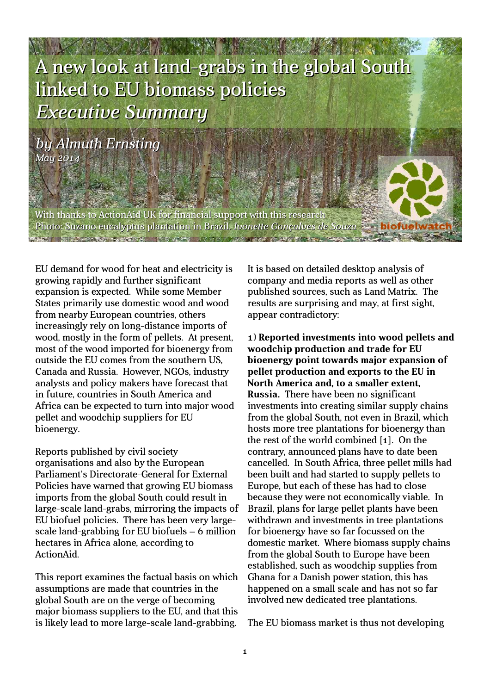

*by Almuth Ernsting May 2014*

With thanks to ActionAid UK for financial support with this research Photo: Suzano eucalyptus plantation in Brazil. *Ivonette Gonçalves de Souza* **BELIEVED AS A SERVICE AND A REPORT OF** 

EU demand for wood for heat and electricity is growing rapidly and further significant expansion is expected. While some Member States primarily use domestic wood and wood from nearby European countries, others increasingly rely on long-distance imports of wood, mostly in the form of pellets. At present, most of the wood imported for bioenergy from outside the EU comes from the southern US, Canada and Russia. However, NGOs, industry analysts and policy makers have forecast that in future, countries in South America and Africa can be expected to turn into major wood pellet and woodchip suppliers for EU bioenergy.

Reports published by civil society organisations and also by the European Parliament's Directorate-General for External Policies have warned that growing EU biomass imports from the global South could result in large-scale land-grabs, mirroring the impacts of EU biofuel policies. There has been very largescale land-grabbing for EU biofuels – 6 million hectares in Africa alone, according to ActionAid.

This report examines the factual basis on which assumptions are made that countries in the global South are on the verge of becoming major biomass suppliers to the EU, and that this is likely lead to more large-scale land-grabbing.

It is based on detailed desktop analysis of company and media reports as well as other published sources, such as Land Matrix. The results are surprising and may, at first sight, appear contradictory:

1) **Reported investments into wood pellets and woodchip production and trade for EU bioenergy point towards major expansion of pellet production and exports to the EU in North America and, to a smaller extent, Russia.** There have been no significant investments into creating similar supply chains from the global South, not even in Brazil, which hosts more tree plantations for bioenergy than the rest of the world combined [1]. On the contrary, announced plans have to date been cancelled. In South Africa, three pellet mills had been built and had started to supply pellets to Europe, but each of these has had to close because they were not economically viable. In Brazil, plans for large pellet plants have been withdrawn and investments in tree plantations for bioenergy have so far focussed on the domestic market. Where biomass supply chains from the global South to Europe have been established, such as woodchip supplies from Ghana for a Danish power station, this has happened on a small scale and has not so far involved new dedicated tree plantations.

The EU biomass market is thus not developing